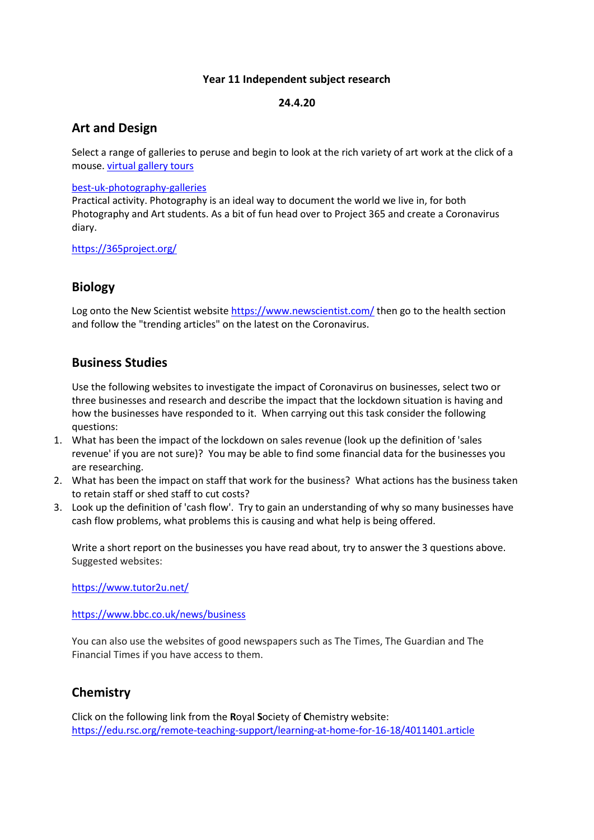#### **Year 11 Independent subject research**

#### **24.4.20**

## **Art and Design**

Select a range of galleries to peruse and begin to look at the rich variety of art work at the click of a mouse. virtual [gallery](https://www.southernliving.com/syndication/museums-with-virtual-tours) tours

#### [best-uk-photography-galleries](https://www.theguardian.com/artanddesign/2018/oct/14/best-uk-photography-galleries-chosen-by-sean-ohagan)

Practical activity. Photography is an ideal way to document the world we live in, for both Photography and Art students. As a bit of fun head over to Project 365 and create a Coronavirus diary.

#### <https://365project.org/>

## **Biology**

Log onto the New Scientist website <https://www.newscientist.com/> then go to the health section and follow the "trending articles" on the latest on the Coronavirus.

### **Business Studies**

Use the following websites to investigate the impact of Coronavirus on businesses, select two or three businesses and research and describe the impact that the lockdown situation is having and how the businesses have responded to it. When carrying out this task consider the following questions:

- 1. What has been the impact of the lockdown on sales revenue (look up the definition of 'sales revenue' if you are not sure)? You may be able to find some financial data for the businesses you are researching.
- 2. What has been the impact on staff that work for the business? What actions has the business taken to retain staff or shed staff to cut costs?
- 3. Look up the definition of 'cash flow'. Try to gain an understanding of why so many businesses have cash flow problems, what problems this is causing and what help is being offered.

Write a short report on the businesses you have read about, try to answer the 3 questions above. Suggested websites:

<https://www.tutor2u.net/>

<https://www.bbc.co.uk/news/business>

You can also use the websites of good newspapers such as The Times, The Guardian and The Financial Times if you have access to them.

### **Chemistry**

Click on the following link from the **R**oyal **S**ociety of **C**hemistry website: <https://edu.rsc.org/remote-teaching-support/learning-at-home-for-16-18/4011401.article>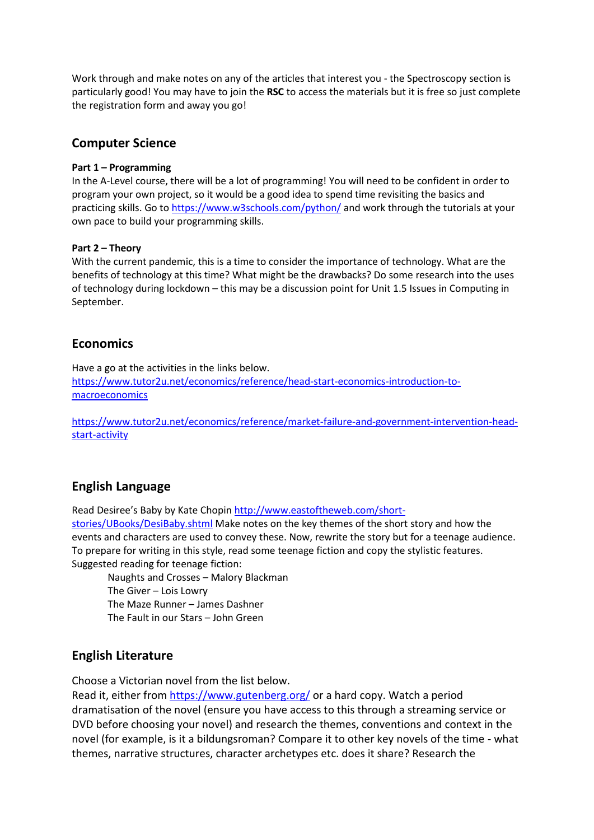Work through and make notes on any of the articles that interest you - the Spectroscopy section is particularly good! You may have to join the **RSC** to access the materials but it is free so just complete the registration form and away you go!

### **Computer Science**

#### **Part 1 – Programming**

In the A-Level course, there will be a lot of programming! You will need to be confident in order to program your own project, so it would be a good idea to spend time revisiting the basics and practicing skills. Go to<https://www.w3schools.com/python/> and work through the tutorials at your own pace to build your programming skills.

#### **Part 2 – Theory**

With the current pandemic, this is a time to consider the importance of technology. What are the benefits of technology at this time? What might be the drawbacks? Do some research into the uses of technology during lockdown – this may be a discussion point for Unit 1.5 Issues in Computing in September.

### **Economics**

Have a go at the activities in the links below. [https://www.tutor2u.net/economics/reference/head-start-economics-introduction-to](https://www.tutor2u.net/economics/reference/head-start-economics-introduction-to-macroeconomics)[macroeconomics](https://www.tutor2u.net/economics/reference/head-start-economics-introduction-to-macroeconomics)

[https://www.tutor2u.net/economics/reference/market-failure-and-government-intervention-head](https://www.tutor2u.net/economics/reference/market-failure-and-government-intervention-head-start-activity)[start-activity](https://www.tutor2u.net/economics/reference/market-failure-and-government-intervention-head-start-activity)

## **English Language**

Read Desiree's Baby by Kate Chopin [http://www.eastoftheweb.com/short-](http://www.eastoftheweb.com/short-stories/UBooks/DesiBaby.shtml)

[stories/UBooks/DesiBaby.shtml](http://www.eastoftheweb.com/short-stories/UBooks/DesiBaby.shtml) Make notes on the key themes of the short story and how the events and characters are used to convey these. Now, rewrite the story but for a teenage audience. To prepare for writing in this style, read some teenage fiction and copy the stylistic features. Suggested reading for teenage fiction:

Naughts and Crosses – Malory Blackman The Giver – Lois Lowry The Maze Runner – James Dashner The Fault in our Stars – John Green

### **English Literature**

Choose a Victorian novel from the list below.

Read it, either from <https://www.gutenberg.org/> or a hard copy. Watch a period dramatisation of the novel (ensure you have access to this through a streaming service or DVD before choosing your novel) and research the themes, conventions and context in the novel (for example, is it a bildungsroman? Compare it to other key novels of the time - what themes, narrative structures, character archetypes etc. does it share? Research the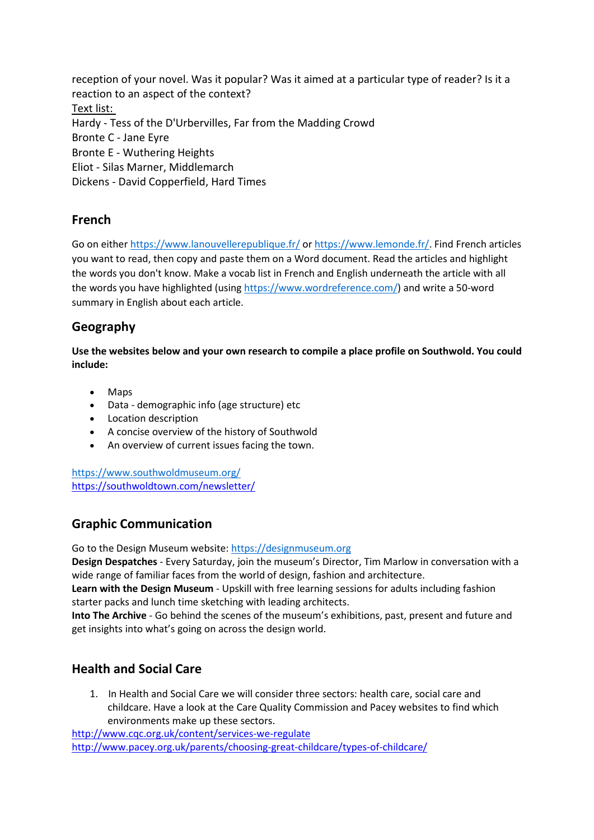reception of your novel. Was it popular? Was it aimed at a particular type of reader? Is it a reaction to an aspect of the context? Text list: Hardy - Tess of the D'Urbervilles, Far from the Madding Crowd Bronte C - Jane Eyre Bronte E - Wuthering Heights Eliot - Silas Marner, Middlemarch Dickens - David Copperfield, Hard Times

# **French**

Go on either <https://www.lanouvellerepublique.fr/> or [https://www.lemonde.fr/.](https://www.lemonde.fr/) Find French articles you want to read, then copy and paste them on a Word document. Read the articles and highlight the words you don't know. Make a vocab list in French and English underneath the article with all the words you have highlighted (using [https://www.wordreference.com/\)](https://www.wordreference.com/) and write a 50-word summary in English about each article.

# **Geography**

**Use the websites below and your own research to compile a place profile on Southwold. You could include:**

- Maps
- Data demographic info (age structure) etc
- Location description
- A concise overview of the history of Southwold
- An overview of current issues facing the town.

<https://www.southwoldmuseum.org/> <https://southwoldtown.com/newsletter/>

# **Graphic Communication**

Go to the Design Museum website: [https://designmuseum.org](https://designmuseum.org/)

**Design Despatches** - Every Saturday, join the museum's Director, Tim Marlow in conversation with a wide range of familiar faces from the world of design, fashion and architecture.

**Learn with the Design Museum** - Upskill with free learning sessions for adults including fashion starter packs and lunch time sketching with leading architects.

**Into The Archive** - Go behind the scenes of the museum's exhibitions, past, present and future and get insights into what's going on across the design world.

# **Health and Social Care**

1. In Health and Social Care we will consider three sectors: health care, social care and childcare. Have a look at the Care Quality Commission and Pacey websites to find which environments make up these sectors.

<http://www.cqc.org.uk/content/services-we-regulate> <http://www.pacey.org.uk/parents/choosing-great-childcare/types-of-childcare/>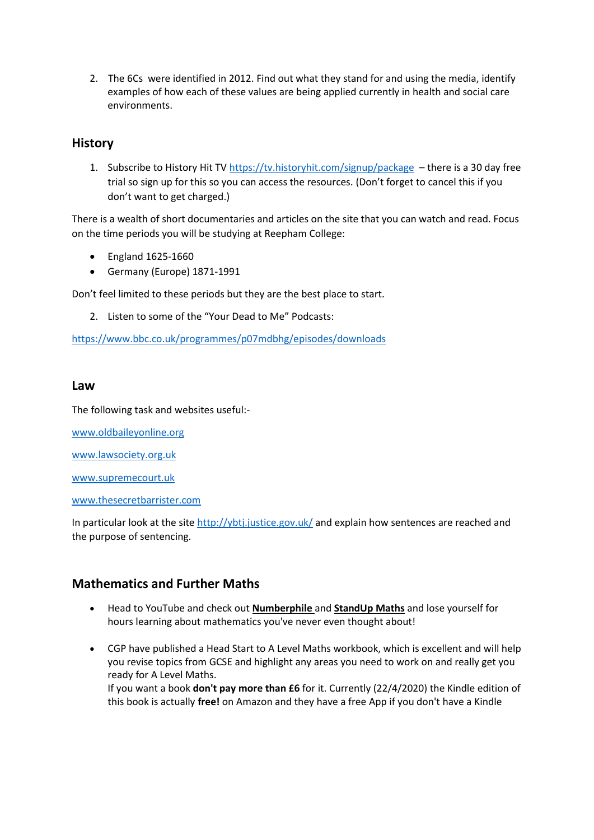2. The 6Cs were identified in 2012. Find out what they stand for and using the media, identify examples of how each of these values are being applied currently in health and social care environments.

## **History**

1. Subscribe to History Hit T[V https://tv.historyhit.com/signup/package](https://tv.historyhit.com/signup/package) – there is a 30 day free trial so sign up for this so you can access the resources. (Don't forget to cancel this if you don't want to get charged.)

There is a wealth of short documentaries and articles on the site that you can watch and read. Focus on the time periods you will be studying at Reepham College:

- England 1625-1660
- Germany (Europe) 1871-1991

Don't feel limited to these periods but they are the best place to start.

2. Listen to some of the "Your Dead to Me" Podcasts:

<https://www.bbc.co.uk/programmes/p07mdbhg/episodes/downloads>

### **Law**

The following task and websites useful:-

[www.oldbaileyonline.org](http://www.oldbaileyonline.org/)

[www.lawsociety.org.uk](http://www.lawsociety.org.uk/)

[www.supremecourt.uk](http://www.supremecourt.uk/)

[www.thesecretbarrister.com](http://www.thesecretbarrister.com/)

In particular look at the sit[e http://ybtj.justice.gov.uk/](http://ybtj.justice.gov.uk/) and explain how sentences are reached and the purpose of sentencing.

### **Mathematics and Further Maths**

- Head to YouTube and check out **[Numberphile](https://www.youtube.com/channel/UCoxcjq-8xIDTYp3uz647V5A)** and **[StandUp](https://www.youtube.com/channel/UCSju5G2aFaWMqn-_0YBtq5A) Maths** and lose yourself for hours learning about mathematics you've never even thought about!
- CGP have published a Head Start to A Level Maths workbook, which is excellent and will help you revise topics from GCSE and highlight any areas you need to work on and really get you ready for A Level Maths.

If you want a book **don't pay more than £6** for it. Currently (22/4/2020) the Kindle edition of this book is actually **free!** on Amazon and they have a free App if you don't have a Kindle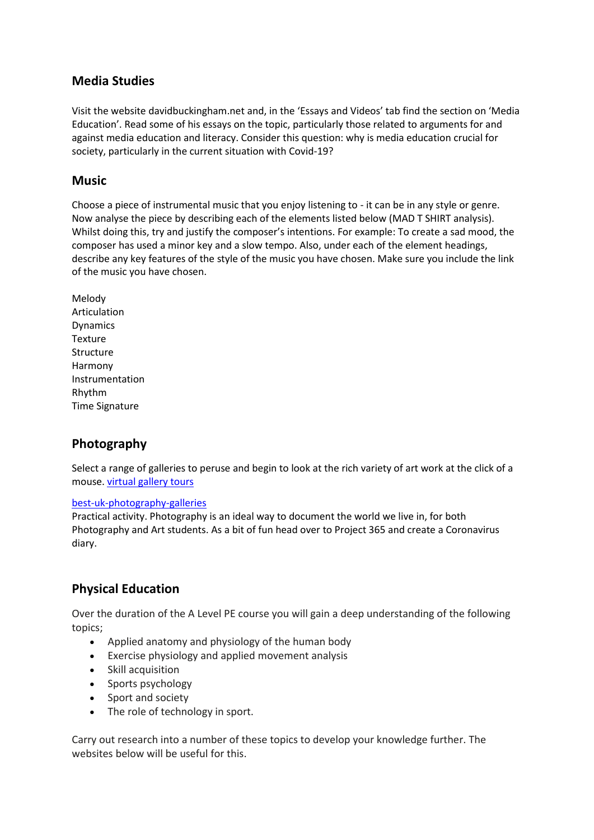## **Media Studies**

Visit the website davidbuckingham.net and, in the 'Essays and Videos' tab find the section on 'Media Education'. Read some of his essays on the topic, particularly those related to arguments for and against media education and literacy. Consider this question: why is media education crucial for society, particularly in the current situation with Covid-19?

## **Music**

Choose a piece of instrumental music that you enjoy listening to - it can be in any style or genre. Now analyse the piece by describing each of the elements listed below (MAD T SHIRT analysis). Whilst doing this, try and justify the composer's intentions. For example: To create a sad mood, the composer has used a minor key and a slow tempo. Also, under each of the element headings, describe any key features of the style of the music you have chosen. Make sure you include the link of the music you have chosen.

Melody Articulation Dynamics Texture Structure Harmony Instrumentation Rhythm Time Signature

# **Photography**

Select a range of galleries to peruse and begin to look at the rich variety of art work at the click of a mouse. virtual [gallery](https://www.southernliving.com/syndication/museums-with-virtual-tours) tours

### [best-uk-photography-galleries](https://www.theguardian.com/artanddesign/2018/oct/14/best-uk-photography-galleries-chosen-by-sean-ohagan)

Practical activity. Photography is an ideal way to document the world we live in, for both Photography and Art students. As a bit of fun head over to Project 365 and create a Coronavirus diary.

# **Physical Education**

Over the duration of the A Level PE course you will gain a deep understanding of the following topics;

- Applied anatomy and physiology of the human body
- Exercise physiology and applied movement analysis
- Skill acquisition
- Sports psychology
- Sport and society
- The role of technology in sport.

Carry out research into a number of these topics to develop your knowledge further. The websites below will be useful for this.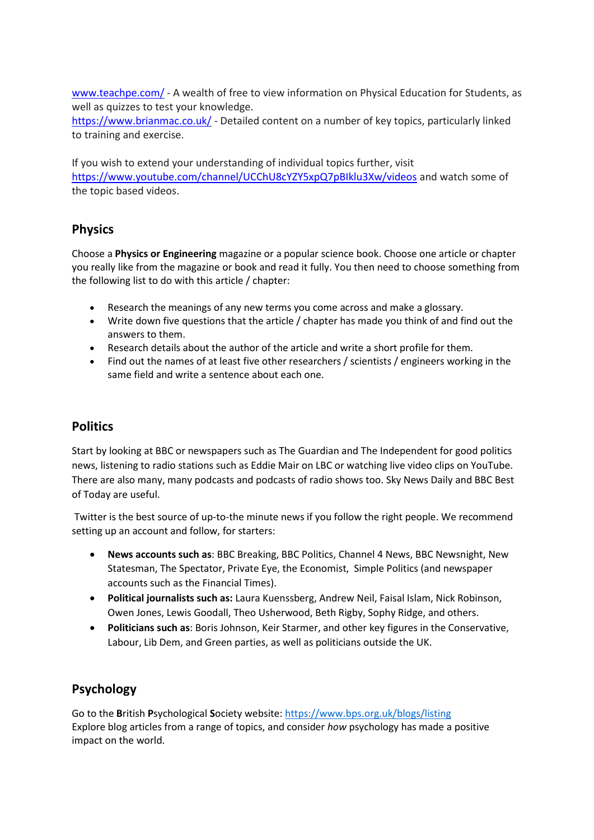[www.teachpe.com/](http://www.teachpe.com/) - A wealth of free to view information on Physical Education for Students, as well as quizzes to test your knowledge.

<https://www.brianmac.co.uk/> - Detailed content on a number of key topics, particularly linked to training and exercise.

If you wish to extend your understanding of individual topics further, visit <https://www.youtube.com/channel/UCChU8cYZY5xpQ7pBIklu3Xw/videos> and watch some of the topic based videos.

# **Physics**

Choose a **Physics or Engineering** magazine or a popular science book. Choose one article or chapter you really like from the magazine or book and read it fully. You then need to choose something from the following list to do with this article / chapter:

- Research the meanings of any new terms you come across and make a glossary.
- Write down five questions that the article / chapter has made you think of and find out the answers to them.
- Research details about the author of the article and write a short profile for them.
- Find out the names of at least five other researchers / scientists / engineers working in the same field and write a sentence about each one.

# **Politics**

Start by looking at BBC or newspapers such as The Guardian and The Independent for good politics news, listening to radio stations such as Eddie Mair on LBC or watching live video clips on YouTube. There are also many, many podcasts and podcasts of radio shows too. Sky News Daily and BBC Best of Today are useful.

Twitter is the best source of up-to-the minute news if you follow the right people. We recommend setting up an account and follow, for starters:

- **News accounts such as**: BBC Breaking, BBC Politics, Channel 4 News, BBC Newsnight, New Statesman, The Spectator, Private Eye, the Economist, Simple Politics (and newspaper accounts such as the Financial Times).
- **Political journalists such as:** Laura Kuenssberg, Andrew Neil, Faisal Islam, Nick Robinson, Owen Jones, Lewis Goodall, Theo Usherwood, Beth Rigby, Sophy Ridge, and others.
- **Politicians such as**: Boris Johnson, Keir Starmer, and other key figures in the Conservative, Labour, Lib Dem, and Green parties, as well as politicians outside the UK.

# **Psychology**

Go to the **B**ritish **P**sychological **S**ociety website: <https://www.bps.org.uk/blogs/listing> Explore blog articles from a range of topics, and consider *how* psychology has made a positive impact on the world.